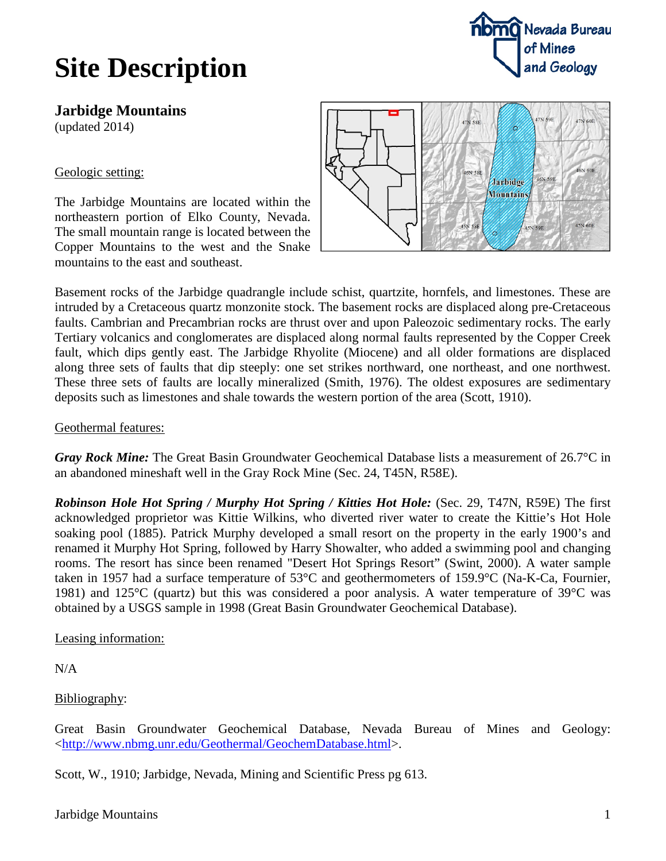# **Site Description**



**Jarbidge Mountains** (updated 2014)

### Geologic setting:

The Jarbidge Mountains are located within the northeastern portion of Elko County, Nevada. The small mountain range is located between the Copper Mountains to the west and the Snake mountains to the east and southeast.



Basement rocks of the Jarbidge quadrangle include schist, quartzite, hornfels, and limestones. These are intruded by a Cretaceous quartz monzonite stock. The basement rocks are displaced along pre-Cretaceous faults. Cambrian and Precambrian rocks are thrust over and upon Paleozoic sedimentary rocks. The early Tertiary volcanics and conglomerates are displaced along normal faults represented by the Copper Creek fault, which dips gently east. The Jarbidge Rhyolite (Miocene) and all older formations are displaced along three sets of faults that dip steeply: one set strikes northward, one northeast, and one northwest. These three sets of faults are locally mineralized (Smith, 1976). The oldest exposures are sedimentary deposits such as limestones and shale towards the western portion of the area (Scott, 1910).

#### Geothermal features:

*Gray Rock Mine:* The Great Basin Groundwater Geochemical Database lists a measurement of 26.7°C in an abandoned mineshaft well in the Gray Rock Mine (Sec. 24, T45N, R58E).

*Robinson Hole Hot Spring / Murphy Hot Spring / Kitties Hot Hole: (Sec. 29, T47N, R59E) The first* acknowledged proprietor was Kittie Wilkins, who diverted river water to create the Kittie's Hot Hole soaking pool (1885). Patrick Murphy developed a small resort on the property in the early 1900's and renamed it Murphy Hot Spring, followed by Harry Showalter, who added a swimming pool and changing rooms. The resort has since been renamed "Desert Hot Springs Resort" (Swint, 2000). A water sample taken in 1957 had a surface temperature of 53°C and geothermometers of 159.9°C (Na-K-Ca, Fournier, 1981) and 125°C (quartz) but this was considered a poor analysis. A water temperature of 39°C was obtained by a USGS sample in 1998 (Great Basin Groundwater Geochemical Database).

#### Leasing information:

N/A

#### Bibliography:

Great Basin Groundwater Geochemical Database, Nevada Bureau of Mines and Geology: [<http://www.nbmg.unr.edu/Geothermal/GeochemDatabase.html>](http://www.nbmg.unr.edu/Geothermal/GeochemDatabase.html).

Scott, W., 1910; Jarbidge, Nevada, Mining and Scientific Press pg 613.